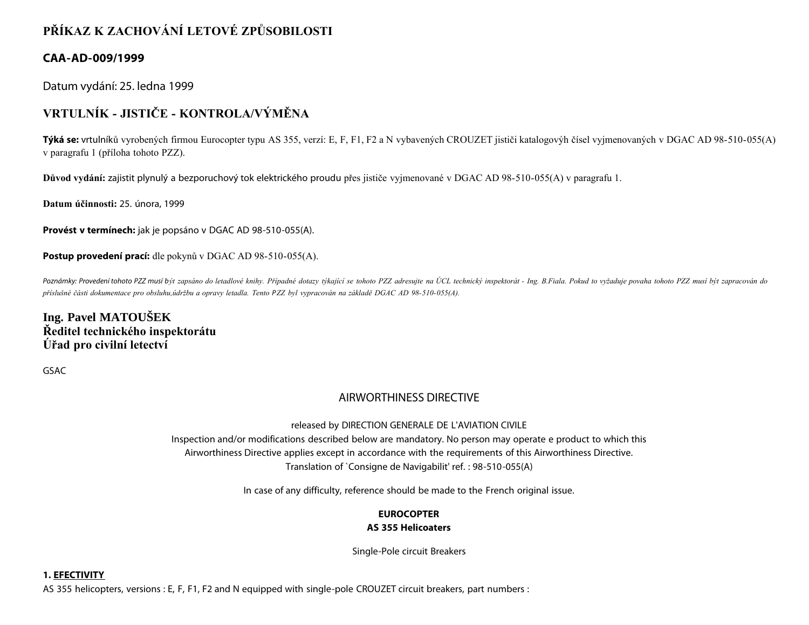# **PŘÍKAZ K ZACHOVÁNÍ LETOVÉ ZPŮSOBILOSTI**

## **CAA-AD-009/1999**

Datum vydání: 25. ledna 1999

# **VRTULNÍK - JISTIČE - KONTROLA/VÝMĚNA**

**Týká se:** vrtulníků vyrobených firmou Eurocopter typu AS 355, verzí: E, F, F1, F2 a N vybavených CROUZET jističi katalogovýh čísel vyjmenovaných v DGAC AD 98-510-055(A) v paragrafu 1 (příloha tohoto PZZ).

**Důvod vydání:** zajistit plynulý a bezporuchový tok elektrického proudu přes jističe vyjmenované v DGAC AD 98-510-055(A) v paragrafu 1.

**Datum účinnosti:** 25. února, 1999

**Provést v termínech:** jak je popsáno v DGAC AD 98-510-055(A).

**Postup provedení prací:** dle pokynů v DGAC AD 98-510-055(A).

Poznámky: Provedení tohoto PZZ musí být zapsáno do letadlové knihy. Případné dotazy týkající se tohoto PZZ adresujte na ÚCL technický inspektorát - Ing. B.Fiala. Pokud to vyžaduje povaha tohoto PZZ musí být zapracován do *příslušné části dokumentace pro obsluhu,údržbu a opravy letadla. Tento PZZ byl vypracován na základě DGAC AD 98-510-055(A).*

## **Ing. Pavel MATOUŠEK Ředitel technického inspektorátu Úřad pro civilní letectví**

GSAC

## AIRWORTHINESS DIRECTIVE

#### released by DIRECTION GENERALE DE L'AVIATION CIVILE

Inspection and/or modifications described below are mandatory. No person may operate e product to which this Airworthiness Directive applies except in accordance with the requirements of this Airworthiness Directive. Translation of `Consigne de Navigabilit' ref. : 98-510-055(A)

In case of any difficulty, reference should be made to the French original issue.

### **EUROCOPTER**

### **AS 355 Helicoaters**

Single-Pole circuit Breakers

### **1. EFECTIVITY**

AS 355 helicopters, versions : E, F, F1, F2 and N equipped with single-pole CROUZET circuit breakers, part numbers :